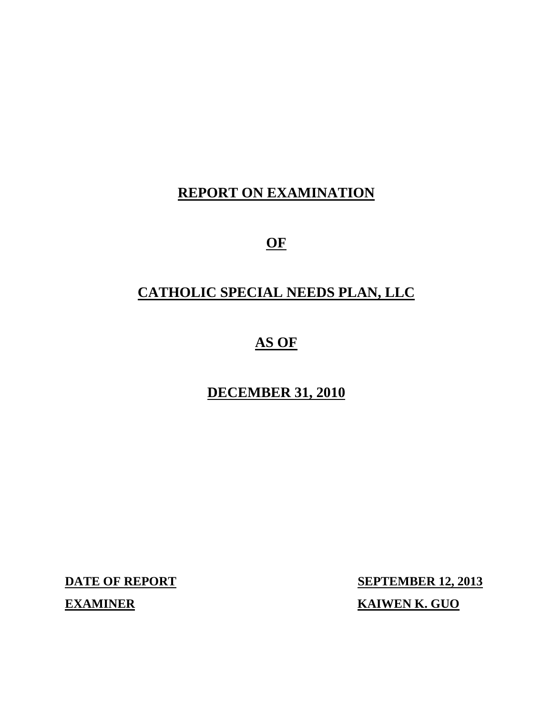## **REPORT ON EXAMINATION**

**OF** 

## **CATHOLIC SPECIAL NEEDS PLAN, LLC**

## **AS OF**

## **DECEMBER 31, 2010**

**DATE OF REPORT SEPTEMBER 12, 2013 EXAMINER KAIWEN K. GUO**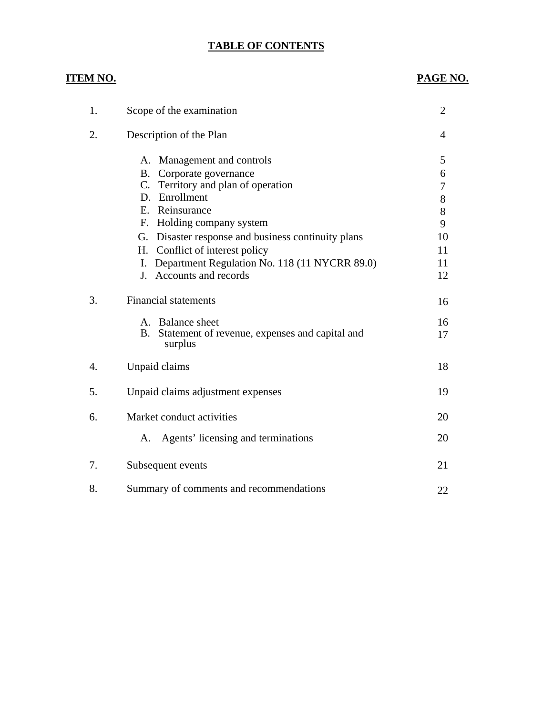#### **TABLE OF CONTENTS**

#### **ITEM NO.**

#### **PAGE NO.**

| 1. | Scope of the examination                                        | $\overline{2}$ |
|----|-----------------------------------------------------------------|----------------|
| 2. | Description of the Plan                                         | 4              |
|    | A. Management and controls                                      | 5              |
|    | Corporate governance<br><b>B</b> .                              | 6              |
|    | C. Territory and plan of operation<br>D. Enrollment             | 7              |
|    | E. Reinsurance                                                  | 8              |
|    | F. Holding company system                                       | 8<br>9         |
|    | Disaster response and business continuity plans<br>G.           | 10             |
|    | Conflict of interest policy<br>H.                               | 11             |
|    | Department Regulation No. 118 (11 NYCRR 89.0)<br>I.             | 11             |
|    | J. Accounts and records                                         | 12             |
|    |                                                                 |                |
| 3. | <b>Financial statements</b>                                     | 16             |
|    | A. Balance sheet                                                | 16             |
|    | Statement of revenue, expenses and capital and<br>B.<br>surplus | 17             |
| 4. | Unpaid claims                                                   | 18             |
| 5. | Unpaid claims adjustment expenses                               | 19             |
| 6. | Market conduct activities                                       | 20             |
|    | Agents' licensing and terminations<br>A.                        | 20             |
|    |                                                                 |                |
| 7. | Subsequent events                                               | 21             |
| 8. | Summary of comments and recommendations                         | 22             |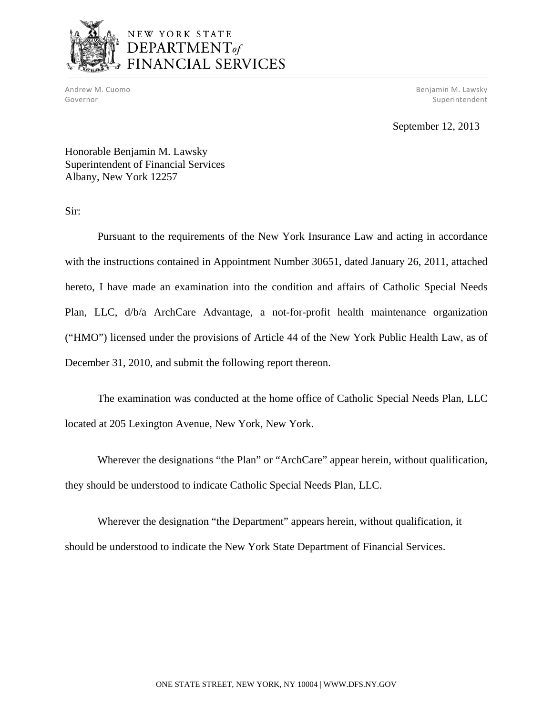

# NEW YORK STATE<br>DEPARTMENT<sub>of</sub><br>FINANCIAL SERVICES

Andrew M. Cuomo Benjamin M. Lawsky (1999) and the settlement of the settlement of the settlement of the settlement of the settlement of the settlement of the settlement of the settlement of the settlement of the settlement Governor Superintendent Superintendent Superintendent Superintendent Superintendent Superintendent Superintendent

September 12, 2013

Honorable Benjamin M. Lawsky Superintendent of Financial Services Albany, New York 12257

Sir:

Pursuant to the requirements of the New York Insurance Law and acting in accordance with the instructions contained in Appointment Number 30651, dated January 26, 2011, attached hereto, I have made an examination into the condition and affairs of Catholic Special Needs Plan, LLC, d/b/a ArchCare Advantage, a not-for-profit health maintenance organization ("HMO") licensed under the provisions of Article 44 of the New York Public Health Law, as of December 31, 2010, and submit the following report thereon.

The examination was conducted at the home office of Catholic Special Needs Plan, LLC located at 205 Lexington Avenue, New York, New York.

Wherever the designations "the Plan" or "ArchCare" appear herein, without qualification, they should be understood to indicate Catholic Special Needs Plan, LLC.

Wherever the designation "the Department" appears herein, without qualification, it should be understood to indicate the New York State Department of Financial Services.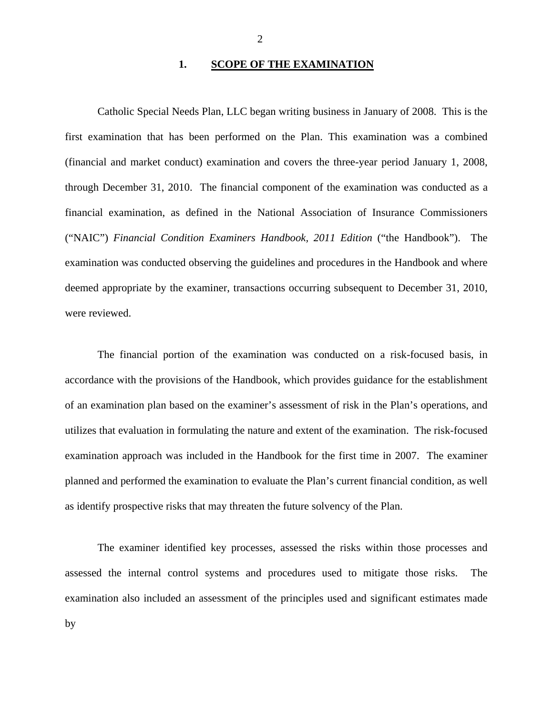#### **1. SCOPE OF THE EXAMINATION**

Catholic Special Needs Plan, LLC began writing business in January of 2008. This is the first examination that has been performed on the Plan. This examination was a combined (financial and market conduct) examination and covers the three-year period January 1, 2008, through December 31, 2010. The financial component of the examination was conducted as a financial examination, as defined in the National Association of Insurance Commissioners ("NAIC") *Financial Condition Examiners Handbook, 2011 Edition* ("the Handbook"). The examination was conducted observing the guidelines and procedures in the Handbook and where deemed appropriate by the examiner, transactions occurring subsequent to December 31, 2010, were reviewed.

The financial portion of the examination was conducted on a risk-focused basis, in accordance with the provisions of the Handbook, which provides guidance for the establishment of an examination plan based on the examiner's assessment of risk in the Plan's operations, and utilizes that evaluation in formulating the nature and extent of the examination. The risk-focused examination approach was included in the Handbook for the first time in 2007. The examiner planned and performed the examination to evaluate the Plan's current financial condition, as well as identify prospective risks that may threaten the future solvency of the Plan.

The examiner identified key processes, assessed the risks within those processes and assessed the internal control systems and procedures used to mitigate those risks. The examination also included an assessment of the principles used and significant estimates made by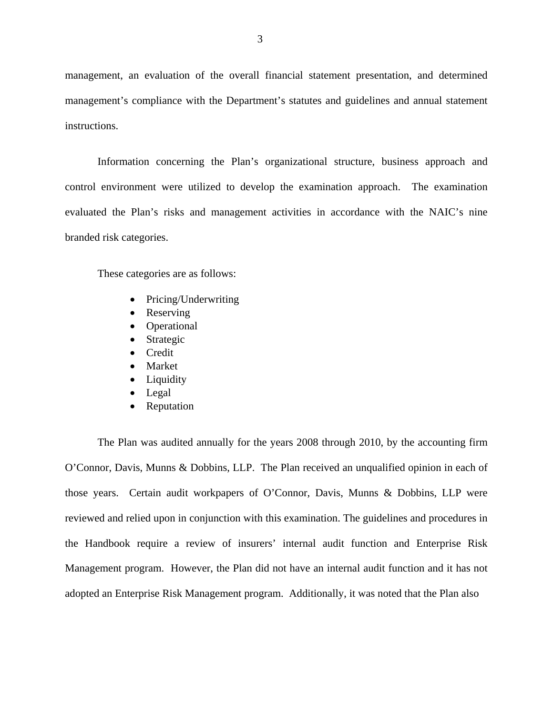management, an evaluation of the overall financial statement presentation, and determined management's compliance with the Department's statutes and guidelines and annual statement instructions.

Information concerning the Plan's organizational structure, business approach and control environment were utilized to develop the examination approach. The examination evaluated the Plan's risks and management activities in accordance with the NAIC's nine branded risk categories.

These categories are as follows:

- Pricing/Underwriting
- Reserving
- Operational
- Strategic
- Credit
- Market
- Liquidity
- Legal
- Reputation

The Plan was audited annually for the years 2008 through 2010, by the accounting firm O'Connor, Davis, Munns & Dobbins, LLP. The Plan received an unqualified opinion in each of those years. Certain audit workpapers of O'Connor, Davis, Munns & Dobbins, LLP were reviewed and relied upon in conjunction with this examination. The guidelines and procedures in the Handbook require a review of insurers' internal audit function and Enterprise Risk Management program. However, the Plan did not have an internal audit function and it has not adopted an Enterprise Risk Management program. Additionally, it was noted that the Plan also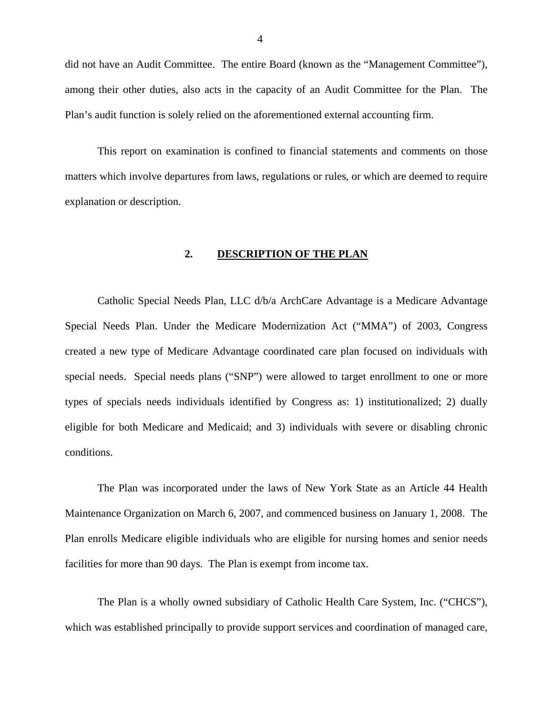did not have an Audit Committee. The entire Board (known as the "Management Committee"), among their other duties, also acts in the capacity of an Audit Committee for the Plan. The Plan's audit function is solely relied on the aforementioned external accounting firm.

This report on examination is confined to financial statements and comments on those matters which involve departures from laws, regulations or rules, or which are deemed to require explanation or description.

#### **2. DESCRIPTION OF THE PLAN**

Catholic Special Needs Plan, LLC d/b/a ArchCare Advantage is a Medicare Advantage Special Needs Plan. Under the Medicare Modernization Act ("MMA") of 2003, Congress created a new type of Medicare Advantage coordinated care plan focused on individuals with special needs. Special needs plans ("SNP") were allowed to target enrollment to one or more types of specials needs individuals identified by Congress as: 1) institutionalized; 2) dually eligible for both Medicare and Medicaid; and 3) individuals with severe or disabling chronic conditions.

The Plan was incorporated under the laws of New York State as an Article 44 Health Maintenance Organization on March 6, 2007, and commenced business on January 1, 2008. The Plan enrolls Medicare eligible individuals who are eligible for nursing homes and senior needs facilities for more than 90 days. The Plan is exempt from income tax.

The Plan is a wholly owned subsidiary of Catholic Health Care System, Inc. ("CHCS"), which was established principally to provide support services and coordination of managed care,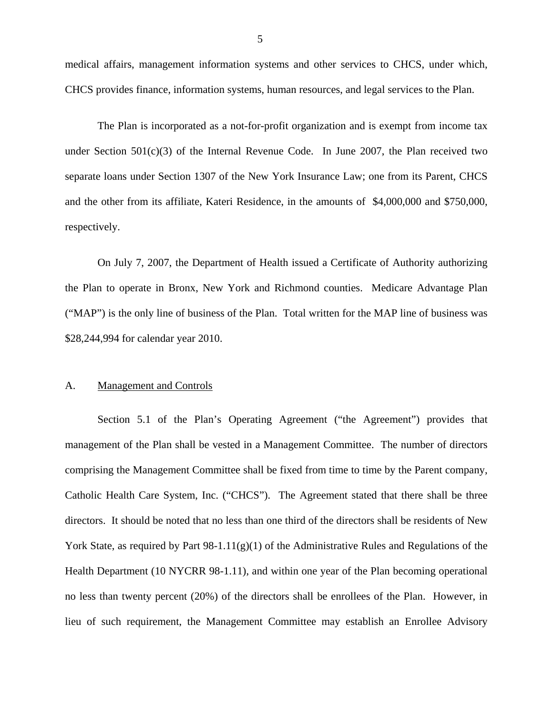<span id="page-6-0"></span>medical affairs, management information systems and other services to CHCS, under which, CHCS provides finance, information systems, human resources, and legal services to the Plan.

The Plan is incorporated as a not-for-profit organization and is exempt from income tax under Section  $501(c)(3)$  of the Internal Revenue Code. In June 2007, the Plan received two separate loans under Section 1307 of the New York Insurance Law; one from its Parent, CHCS and the other from its affiliate, Kateri Residence, in the amounts of \$4,000,000 and \$750,000, respectively.

On July 7, 2007, the Department of Health issued a Certificate of Authority authorizing the Plan to operate in Bronx, New York and Richmond counties. Medicare Advantage Plan ("MAP") is the only line of business of the Plan. Total written for the MAP line of business was \$28,244,994 for calendar year 2010.

#### A. Management and Controls

Section 5.1 of the Plan's Operating Agreement ("the Agreement") provides that management of the Plan shall be vested in a Management Committee. The number of directors comprising the Management Committee shall be fixed from time to time by the Parent company, Catholic Health Care System, Inc. ("CHCS"). The Agreement stated that there shall be three directors. It should be noted that no less than one third of the directors shall be residents of New York State, as required by Part 98-1.11(g)(1) of the Administrative Rules and Regulations of the Health Department (10 NYCRR 98-1.11), and within one year of the Plan becoming operational no less than twenty percent (20%) of the directors shall be enrollees of the Plan. However, in lieu of such requirement, the Management Committee may establish an Enrollee Advisory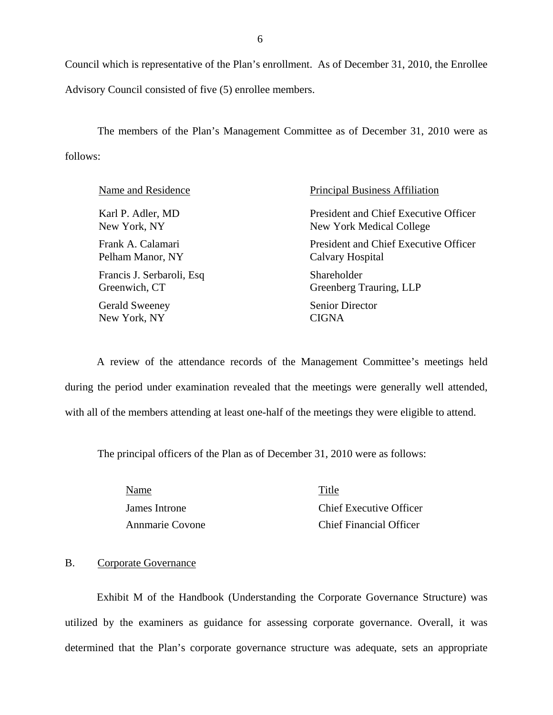Council which is representative of the Plan's enrollment. As of December 31, 2010, the Enrollee Advisory Council consisted of five (5) enrollee members.

The members of the Plan's Management Committee as of December 31, 2010 were as follows:

| Name and Residence         | <b>Principal Business Affiliation</b> |
|----------------------------|---------------------------------------|
| Karl P. Adler, MD          | President and Chief Executive Officer |
| New York, NY               | New York Medical College              |
| Frank A. Calamari          | President and Chief Executive Officer |
| Pelham Manor, NY           | Calvary Hospital                      |
| Francis J. Serbaroli, Esq. | Shareholder                           |
| Greenwich, CT              | Greenberg Trauring, LLP               |
| <b>Gerald Sweeney</b>      | <b>Senior Director</b>                |
| New York, NY               | CIGNA                                 |

A review of the attendance records of the Management Committee's meetings held during the period under examination revealed that the meetings were generally well attended, with all of the members attending at least one-half of the meetings they were eligible to attend.

The principal officers of the Plan as of December 31, 2010 were as follows:

Name Title

James Introne Chief Executive Officer Annmarie Covone Chief Financial Officer

#### B. Corporate Governance

Exhibit M of the Handbook (Understanding the Corporate Governance Structure) was utilized by the examiners as guidance for assessing corporate governance. Overall, it was determined that the Plan's corporate governance structure was adequate, sets an appropriate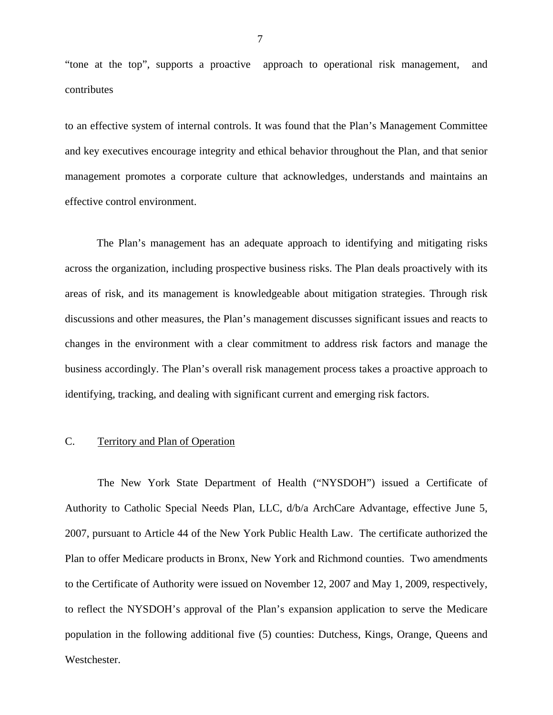<span id="page-8-0"></span>"tone at the top", supports a proactive approach to operational risk management, and contributes

to an effective system of internal controls. It was found that the Plan's Management Committee and key executives encourage integrity and ethical behavior throughout the Plan, and that senior management promotes a corporate culture that acknowledges, understands and maintains an effective control environment.

The Plan's management has an adequate approach to identifying and mitigating risks across the organization, including prospective business risks. The Plan deals proactively with its areas of risk, and its management is knowledgeable about mitigation strategies. Through risk discussions and other measures, the Plan's management discusses significant issues and reacts to changes in the environment with a clear commitment to address risk factors and manage the business accordingly. The Plan's overall risk management process takes a proactive approach to identifying, tracking, and dealing with significant current and emerging risk factors.

#### C. Territory and Plan of Operation

The New York State Department of Health ("NYSDOH") issued a Certificate of Authority to Catholic Special Needs Plan, LLC, d/b/a ArchCare Advantage, effective June 5, 2007, pursuant to Article 44 of the New York Public Health Law. The certificate authorized the Plan to offer Medicare products in Bronx, New York and Richmond counties. Two amendments to the Certificate of Authority were issued on November 12, 2007 and May 1, 2009, respectively, to reflect the NYSDOH's approval of the Plan's expansion application to serve the Medicare population in the following additional five (5) counties: Dutchess, Kings, Orange, Queens and Westchester.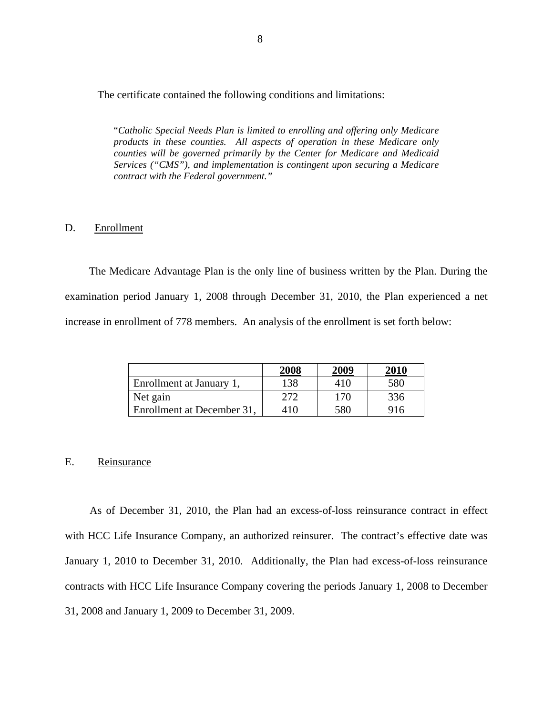The certificate contained the following conditions and limitations:

"*Catholic Special Needs Plan is limited to enrolling and offering only Medicare products in these counties. All aspects of operation in these Medicare only counties will be governed primarily by the Center for Medicare and Medicaid Services ("CMS"), and implementation is contingent upon securing a Medicare contract with the Federal government."* 

#### D. Enrollment

The Medicare Advantage Plan is the only line of business written by the Plan. During the examination period January 1, 2008 through December 31, 2010, the Plan experienced a net increase in enrollment of 778 members. An analysis of the enrollment is set forth below:

|                            | 2008 | 2009 | 2010 |
|----------------------------|------|------|------|
| Enrollment at January 1,   | 138  | 410  | 580  |
| Net gain                   | 272  | 170  | 336  |
| Enrollment at December 31, | 410  | 580  | 916  |

#### E. Reinsurance

As of December 31, 2010, the Plan had an excess-of-loss reinsurance contract in effect with HCC Life Insurance Company, an authorized reinsurer. The contract's effective date was January 1, 2010 to December 31, 2010. Additionally, the Plan had excess-of-loss reinsurance contracts with HCC Life Insurance Company covering the periods January 1, 2008 to December 31, 2008 and January 1, 2009 to December 31, 2009.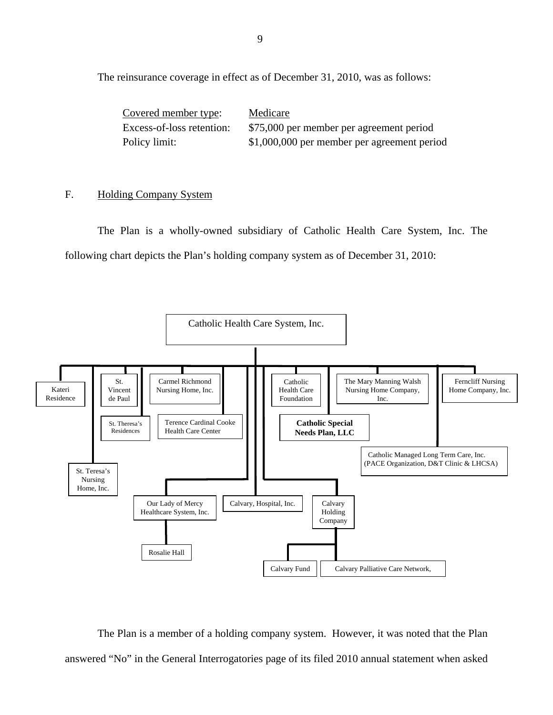The reinsurance coverage in effect as of December 31, 2010, was as follows:

| Covered member type:      | Medicare                                    |
|---------------------------|---------------------------------------------|
| Excess-of-loss retention: | \$75,000 per member per agreement period    |
| Policy limit:             | \$1,000,000 per member per agreement period |

#### F. Holding Company System

The Plan is a wholly-owned subsidiary of Catholic Health Care System, Inc. The following chart depicts the Plan's holding company system as of December 31, 2010:



The Plan is a member of a holding company system. However, it was noted that the Plan answered "No" in the General Interrogatories page of its filed 2010 annual statement when asked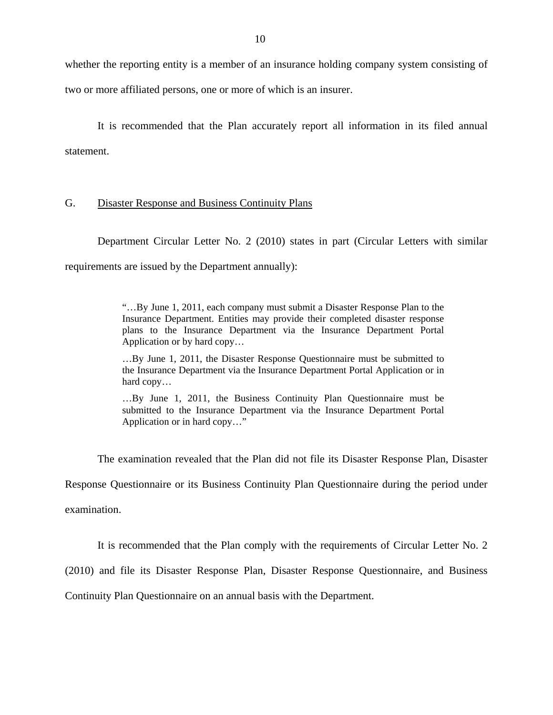<span id="page-11-0"></span>whether the reporting entity is a member of an insurance holding company system consisting of two or more affiliated persons, one or more of which is an insurer.

It is recommended that the Plan accurately report all information in its filed annual statement.

#### G. Disaster Response and Business Continuity Plans

requirements are issued by the Department annually): Department Circular Letter No. 2 (2010) states in part (Circular Letters with similar

> "...By June 1, 2011, each company must submit a Disaster Response Plan to the Insurance Department. Entities may provide their completed disaster response plans to the Insurance Department via the Insurance Department Portal Application or by hard copy…

> …By June 1, 2011, the Disaster Response Questionnaire must be submitted to the Insurance Department via the Insurance Department Portal Application or in hard copy…

> …By June 1, 2011, the Business Continuity Plan Questionnaire must be submitted to the Insurance Department via the Insurance Department Portal Application or in hard copy…"

The examination revealed that the Plan did not file its Disaster Response Plan, Disaster Response Questionnaire or its Business Continuity Plan Questionnaire during the period under examination.

It is recommended that the Plan comply with the requirements of Circular Letter No. 2

(2010) and file its Disaster Response Plan, Disaster Response Questionnaire, and Business

Continuity Plan Questionnaire on an annual basis with the Department.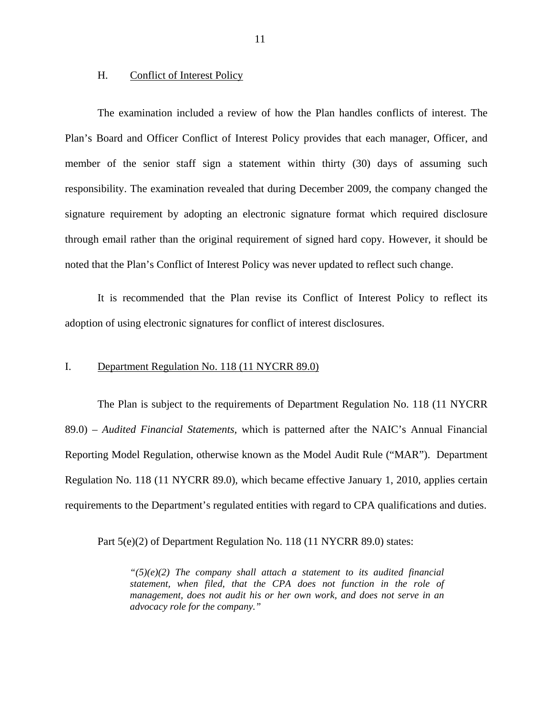#### <span id="page-12-0"></span>H. Conflict of Interest Policy

The examination included a review of how the Plan handles conflicts of interest. The Plan's Board and Officer Conflict of Interest Policy provides that each manager, Officer, and member of the senior staff sign a statement within thirty (30) days of assuming such responsibility. The examination revealed that during December 2009, the company changed the signature requirement by adopting an electronic signature format which required disclosure through email rather than the original requirement of signed hard copy. However, it should be noted that the Plan's Conflict of Interest Policy was never updated to reflect such change.

It is recommended that the Plan revise its Conflict of Interest Policy to reflect its adoption of using electronic signatures for conflict of interest disclosures.

#### I. Department Regulation No. 118 (11 NYCRR 89.0)

The Plan is subject to the requirements of Department Regulation No. 118 (11 NYCRR 89.0) – *Audited Financial Statements,* which is patterned after the NAIC's Annual Financial Reporting Model Regulation, otherwise known as the Model Audit Rule ("MAR"). Department Regulation No. 118 (11 NYCRR 89.0), which became effective January 1, 2010, applies certain requirements to the Department's regulated entities with regard to CPA qualifications and duties.

Part  $5(e)(2)$  of Department Regulation No. 118 (11 NYCRR 89.0) states:

*"(5)(e)(2) The company shall attach a statement to its audited financial statement, when filed, that the CPA does not function in the role of management, does not audit his or her own work, and does not serve in an advocacy role for the company."*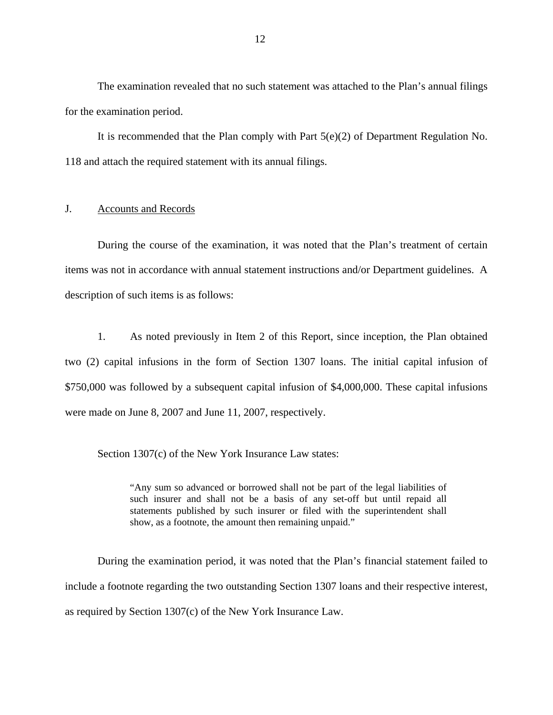<span id="page-13-0"></span>The examination revealed that no such statement was attached to the Plan's annual filings for the examination period.

It is recommended that the Plan comply with Part  $5(e)(2)$  of Department Regulation No. 118 and attach the required statement with its annual filings.

#### J. Accounts and Records

During the course of the examination, it was noted that the Plan's treatment of certain items was not in accordance with annual statement instructions and/or Department guidelines. A description of such items is as follows:

1. As noted previously in Item 2 of this Report, since inception, the Plan obtained two (2) capital infusions in the form of Section 1307 loans. The initial capital infusion of \$750,000 was followed by a subsequent capital infusion of \$4,000,000. These capital infusions were made on June 8, 2007 and June 11, 2007, respectively.

Section 1307(c) of the New York Insurance Law states:

"Any sum so advanced or borrowed shall not be part of the legal liabilities of such insurer and shall not be a basis of any set-off but until repaid all statements published by such insurer or filed with the superintendent shall show, as a footnote, the amount then remaining unpaid."

During the examination period, it was noted that the Plan's financial statement failed to include a footnote regarding the two outstanding Section 1307 loans and their respective interest, as required by Section 1307(c) of the New York Insurance Law.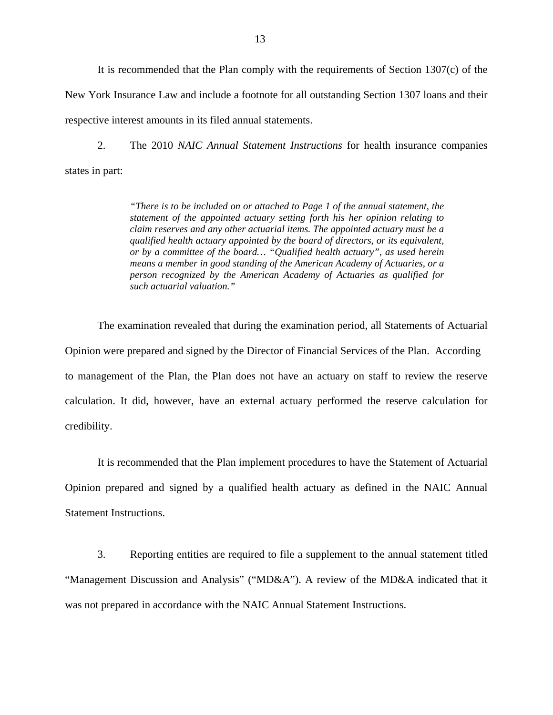It is recommended that the Plan comply with the requirements of Section 1307(c) of the New York Insurance Law and include a footnote for all outstanding Section 1307 loans and their respective interest amounts in its filed annual statements.

2. The 2010 *NAIC Annual Statement Instructions* for health insurance companies states in part:

> *"There is to be included on or attached to Page 1 of the annual statement, the statement of the appointed actuary setting forth his her opinion relating to claim reserves and any other actuarial items. The appointed actuary must be a qualified health actuary appointed by the board of directors, or its equivalent, or by a committee of the board… "Qualified health actuary", as used herein means a member in good standing of the American Academy of Actuaries, or a person recognized by the American Academy of Actuaries as qualified for such actuarial valuation."*

The examination revealed that during the examination period, all Statements of Actuarial Opinion were prepared and signed by the Director of Financial Services of the Plan. According to management of the Plan, the Plan does not have an actuary on staff to review the reserve calculation. It did, however, have an external actuary performed the reserve calculation for credibility.

It is recommended that the Plan implement procedures to have the Statement of Actuarial Opinion prepared and signed by a qualified health actuary as defined in the NAIC Annual Statement Instructions.

3. Reporting entities are required to file a supplement to the annual statement titled "Management Discussion and Analysis" ("MD&A"). A review of the MD&A indicated that it was not prepared in accordance with the NAIC Annual Statement Instructions.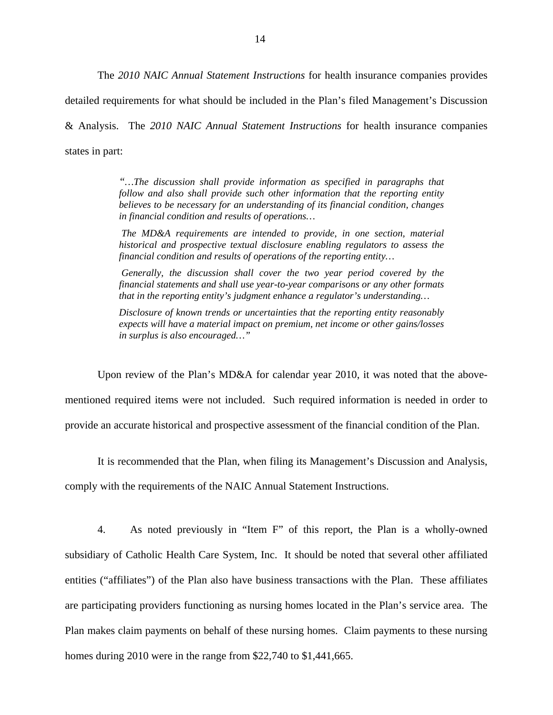The *2010 NAIC Annual Statement Instructions* for health insurance companies provides detailed requirements for what should be included in the Plan's filed Management's Discussion & Analysis. The *2010 NAIC Annual Statement Instructions* for health insurance companies states in part:

> *"…The discussion shall provide information as specified in paragraphs that follow and also shall provide such other information that the reporting entity believes to be necessary for an understanding of its financial condition, changes in financial condition and results of operations…*

> *The MD&A requirements are intended to provide, in one section, material historical and prospective textual disclosure enabling regulators to assess the financial condition and results of operations of the reporting entity…*

> *Generally, the discussion shall cover the two year period covered by the financial statements and shall use year-to-year comparisons or any other formats that in the reporting entity's judgment enhance a regulator's understanding…*

> *Disclosure of known trends or uncertainties that the reporting entity reasonably expects will have a material impact on premium, net income or other gains/losses in surplus is also encouraged…"*

Upon review of the Plan's MD&A for calendar year 2010, it was noted that the abovementioned required items were not included. Such required information is needed in order to provide an accurate historical and prospective assessment of the financial condition of the Plan.

It is recommended that the Plan, when filing its Management's Discussion and Analysis, comply with the requirements of the NAIC Annual Statement Instructions.

4. As noted previously in "Item F" of this report, the Plan is a wholly-owned subsidiary of Catholic Health Care System, Inc. It should be noted that several other affiliated entities ("affiliates") of the Plan also have business transactions with the Plan. These affiliates are participating providers functioning as nursing homes located in the Plan's service area. The Plan makes claim payments on behalf of these nursing homes. Claim payments to these nursing homes during 2010 were in the range from \$22,740 to \$1,441,665.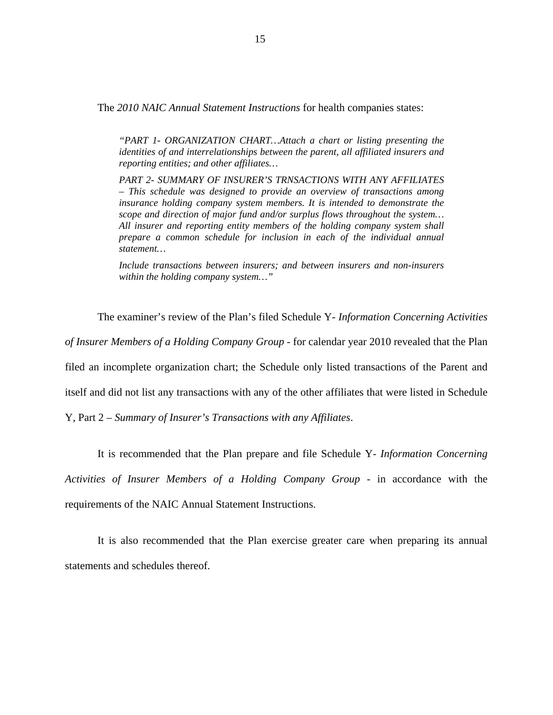The *2010 NAIC Annual Statement Instructions* for health companies states:

*"PART 1- ORGANIZATION CHART…Attach a chart or listing presenting the identities of and interrelationships between the parent, all affiliated insurers and reporting entities; and other affiliates…* 

*PART 2- SUMMARY OF INSURER'S TRNSACTIONS WITH ANY AFFILIATES – This schedule was designed to provide an overview of transactions among insurance holding company system members. It is intended to demonstrate the scope and direction of major fund and/or surplus flows throughout the system… All insurer and reporting entity members of the holding company system shall prepare a common schedule for inclusion in each of the individual annual statement…* 

*Include transactions between insurers; and between insurers and non-insurers within the holding company system…"* 

The examiner's review of the Plan's filed Schedule Y- *Information Concerning Activities* 

*of Insurer Members of a Holding Company Group* - for calendar year 2010 revealed that the Plan

filed an incomplete organization chart; the Schedule only listed transactions of the Parent and

itself and did not list any transactions with any of the other affiliates that were listed in Schedule

Y, Part 2 – *Summary of Insurer's Transactions with any Affiliates*.

It is recommended that the Plan prepare and file Schedule Y- *Information Concerning Activities of Insurer Members of a Holding Company Group* - in accordance with the requirements of the NAIC Annual Statement Instructions.

It is also recommended that the Plan exercise greater care when preparing its annual statements and schedules thereof.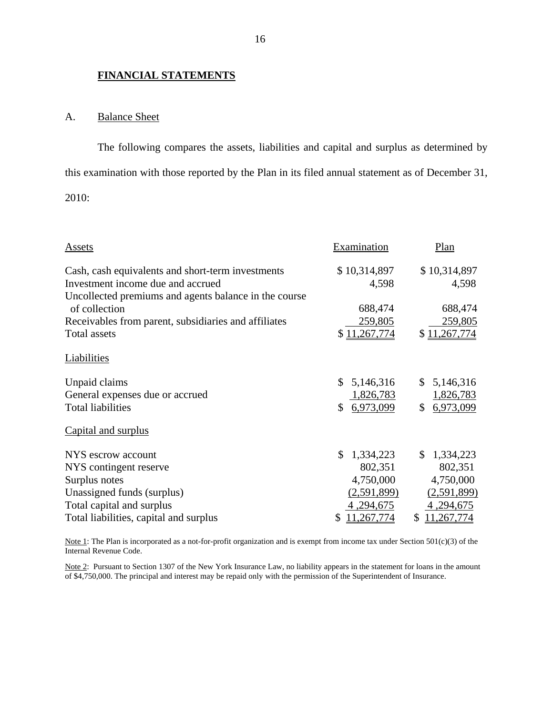#### **FINANCIAL STATEMENTS**

#### A. Balance Sheet

The following compares the assets, liabilities and capital and surplus as determined by this examination with those reported by the Plan in its filed annual statement as of December 31,

2010:

| Assets                                                | Examination     | Plan            |
|-------------------------------------------------------|-----------------|-----------------|
| Cash, cash equivalents and short-term investments     | \$10,314,897    | \$10,314,897    |
| Investment income due and accrued                     | 4,598           | 4,598           |
| Uncollected premiums and agents balance in the course |                 |                 |
| of collection                                         | 688,474         | 688,474         |
| Receivables from parent, subsidiaries and affiliates  | 259,805         | 259,805         |
| Total assets                                          | \$11,267,774    | \$11,267,774    |
| Liabilities                                           |                 |                 |
| Unpaid claims                                         | 5,146,316<br>\$ | 5,146,316<br>\$ |
| General expenses due or accrued                       | 1,826,783       | 1,826,783       |
| <b>Total liabilities</b>                              | 6,973,099<br>\$ | 6,973,099<br>\$ |
| Capital and surplus                                   |                 |                 |
| NYS escrow account                                    | 1,334,223<br>S  | 1,334,223<br>\$ |
| NYS contingent reserve                                | 802,351         | 802,351         |
| Surplus notes                                         | 4,750,000       | 4,750,000       |
| Unassigned funds (surplus)                            | (2,591,899)     | (2,591,899)     |
| Total capital and surplus                             | 4, 294, 675     | 4, 294, 675     |
| Total liabilities, capital and surplus                | ,267,774<br>S.  | 11,267,774<br>S |

Internal Revenue Code. Note 1: The Plan is incorporated as a not-for-profit organization and is exempt from income tax under Section 501(c)(3) of the

Note 2: Pursuant to Section 1307 of the New York Insurance Law, no liability appears in the statement for loans in the amount of \$4,750,000. The principal and interest may be repaid only with the permission of the Superintendent of Insurance.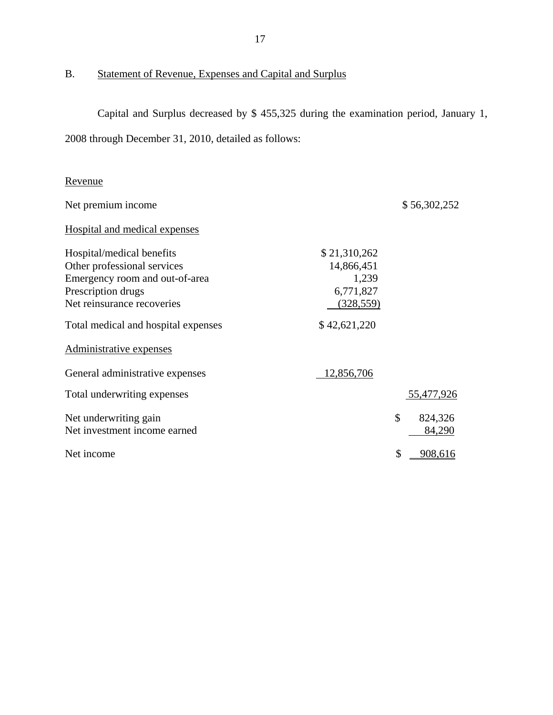<span id="page-18-0"></span>B. Statement of Revenue, Expenses and Capital and Surplus

Capital and Surplus decreased by \$ 455,325 during the examination period, January 1, 2008 through December 31, 2010, detailed as follows:

| Revenue |  |
|---------|--|
|         |  |

| Net premium income                  |              | \$56,302,252  |
|-------------------------------------|--------------|---------------|
| Hospital and medical expenses       |              |               |
| Hospital/medical benefits           | \$21,310,262 |               |
| Other professional services         | 14,866,451   |               |
| Emergency room and out-of-area      | 1,239        |               |
| Prescription drugs                  | 6,771,827    |               |
| Net reinsurance recoveries          | (328, 559)   |               |
| Total medical and hospital expenses | \$42,621,220 |               |
| Administrative expenses             |              |               |
| General administrative expenses     | 12,856,706   |               |
| Total underwriting expenses         |              | 55,477,926    |
| Net underwriting gain               |              | \$<br>824,326 |
| Net investment income earned        |              | 84,290        |
| Net income                          |              | \$<br>908,616 |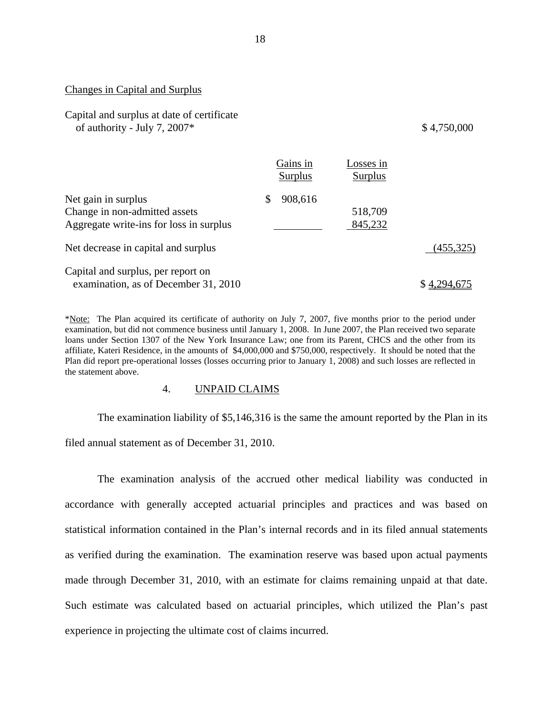#### <span id="page-19-0"></span>Changes in Capital and Surplus

Capital and surplus at date of certificate of authority - July 7, 2007 $*$ 

#### \$4,750,000

|                                         | Gains in<br>Surplus | Losses in<br>Surplus |             |
|-----------------------------------------|---------------------|----------------------|-------------|
| Net gain in surplus                     | 908,616<br><b>S</b> |                      |             |
| Change in non-admitted assets           |                     | 518,709              |             |
| Aggregate write-ins for loss in surplus |                     | 845,232              |             |
| Net decrease in capital and surplus     |                     |                      | (455, 325)  |
| Capital and surplus, per report on      |                     |                      |             |
| examination, as of December 31, 2010    |                     |                      | \$4,294,675 |

\*Note: The Plan acquired its certificate of authority on July 7, 2007, five months prior to the period under examination, but did not commence business until January 1, 2008. In June 2007, the Plan received two separate loans under Section 1307 of the New York Insurance Law; one from its Parent, CHCS and the other from its affiliate, Kateri Residence, in the amounts of \$4,000,000 and \$750,000, respectively. It should be noted that the Plan did report pre-operational losses (losses occurring prior to January 1, 2008) and such losses are reflected in the statement above.

#### 4. UNPAID CLAIMS

The examination liability of \$5,146,316 is the same the amount reported by the Plan in its filed annual statement as of December 31, 2010.

The examination analysis of the accrued other medical liability was conducted in accordance with generally accepted actuarial principles and practices and was based on statistical information contained in the Plan's internal records and in its filed annual statements as verified during the examination. The examination reserve was based upon actual payments made through December 31, 2010, with an estimate for claims remaining unpaid at that date. Such estimate was calculated based on actuarial principles, which utilized the Plan's past experience in projecting the ultimate cost of claims incurred.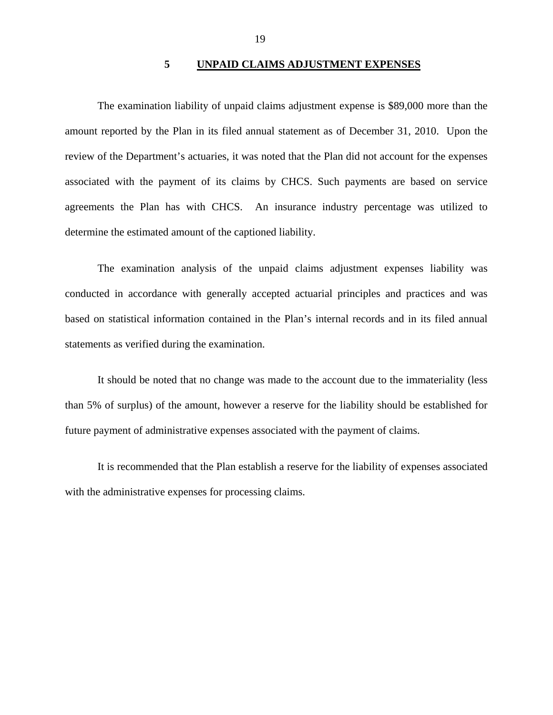#### **5 UNPAID CLAIMS ADJUSTMENT EXPENSES**

<span id="page-20-0"></span>The examination liability of unpaid claims adjustment expense is \$89,000 more than the amount reported by the Plan in its filed annual statement as of December 31, 2010. Upon the review of the Department's actuaries, it was noted that the Plan did not account for the expenses associated with the payment of its claims by CHCS. Such payments are based on service agreements the Plan has with CHCS. An insurance industry percentage was utilized to determine the estimated amount of the captioned liability.

The examination analysis of the unpaid claims adjustment expenses liability was conducted in accordance with generally accepted actuarial principles and practices and was based on statistical information contained in the Plan's internal records and in its filed annual statements as verified during the examination.

It should be noted that no change was made to the account due to the immateriality (less than 5% of surplus) of the amount, however a reserve for the liability should be established for future payment of administrative expenses associated with the payment of claims.

It is recommended that the Plan establish a reserve for the liability of expenses associated with the administrative expenses for processing claims.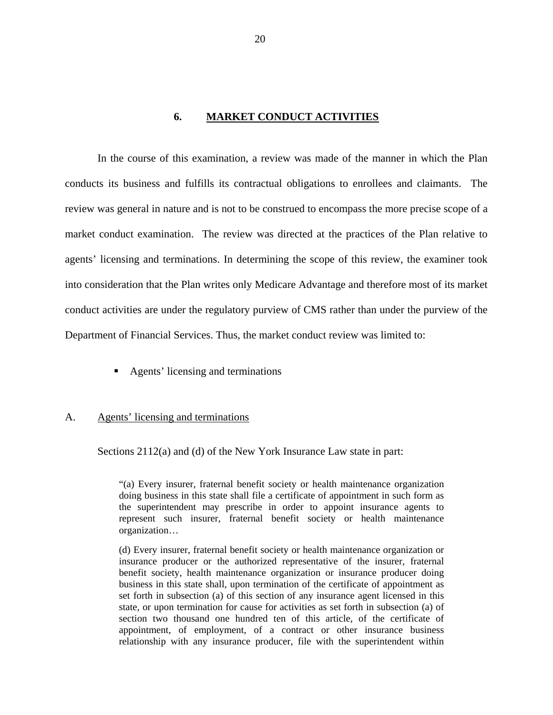#### **6. MARKET CONDUCT ACTIVITIES**

<span id="page-21-0"></span>In the course of this examination, a review was made of the manner in which the Plan conducts its business and fulfills its contractual obligations to enrollees and claimants. The review was general in nature and is not to be construed to encompass the more precise scope of a market conduct examination. The review was directed at the practices of the Plan relative to agents' licensing and terminations. In determining the scope of this review, the examiner took into consideration that the Plan writes only Medicare Advantage and therefore most of its market conduct activities are under the regulatory purview of CMS rather than under the purview of the Department of Financial Services. Thus, the market conduct review was limited to:

**Agents' licensing and terminations** 

#### A. Agents' licensing and terminations

Sections 2112(a) and (d) of the New York Insurance Law state in part:

"(a) Every insurer, fraternal benefit society or health maintenance organization doing business in this state shall file a certificate of appointment in such form as the superintendent may prescribe in order to appoint insurance agents to represent such insurer, fraternal benefit society or health maintenance organization…

(d) Every insurer, fraternal benefit society or health maintenance organization or insurance producer or the authorized representative of the insurer, fraternal benefit society, health maintenance organization or insurance producer doing business in this state shall, upon termination of the certificate of appointment as set forth in subsection (a) of this section of any insurance agent licensed in this state, or upon termination for cause for activities as set forth in subsection (a) of section two thousand one hundred ten of this article, of the certificate of appointment, of employment, of a contract or other insurance business relationship with any insurance producer, file with the superintendent within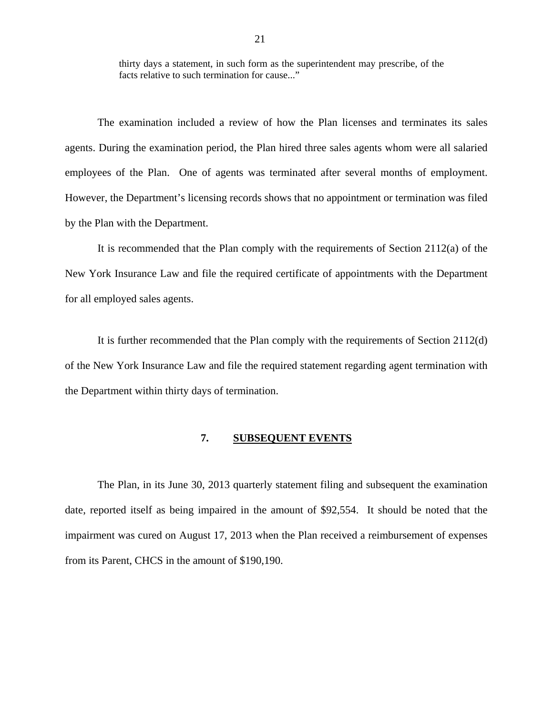<span id="page-22-0"></span>thirty days a statement, in such form as the superintendent may prescribe, of the facts relative to such termination for cause..."

The examination included a review of how the Plan licenses and terminates its sales agents. During the examination period, the Plan hired three sales agents whom were all salaried employees of the Plan. One of agents was terminated after several months of employment. However, the Department's licensing records shows that no appointment or termination was filed by the Plan with the Department.

It is recommended that the Plan comply with the requirements of Section 2112(a) of the New York Insurance Law and file the required certificate of appointments with the Department for all employed sales agents.

It is further recommended that the Plan comply with the requirements of Section 2112(d) of the New York Insurance Law and file the required statement regarding agent termination with the Department within thirty days of termination.

#### **7. SUBSEQUENT EVENTS**

The Plan, in its June 30, 2013 quarterly statement filing and subsequent the examination date, reported itself as being impaired in the amount of \$92,554. It should be noted that the impairment was cured on August 17, 2013 when the Plan received a reimbursement of expenses from its Parent, CHCS in the amount of \$190,190.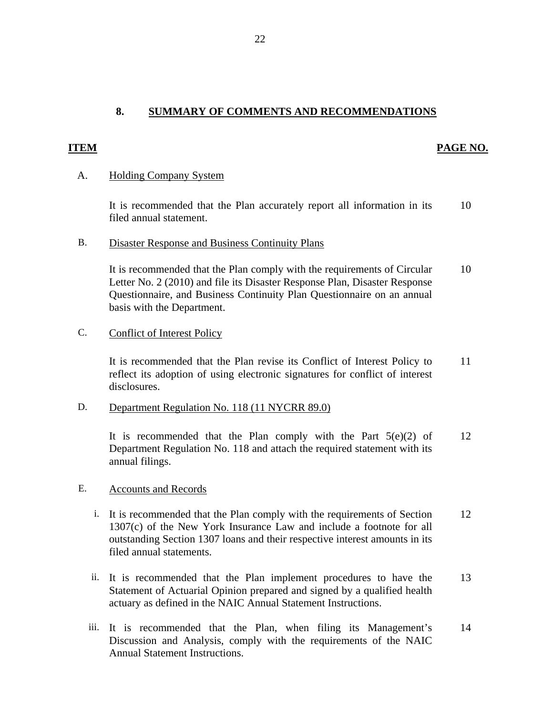## **8. SUMMARY OF COMMENTS AND RECOMMENDATIONS**

#### **ITEM** PAGE NO.

#### A. Holding Company System

It is recommended that the Plan accurately report all information in its 10 filed annual statement.

#### B. Disaster Response and Business Continuity Plans

It is recommended that the Plan comply with the requirements of Circular 10 Letter No. 2 (2010) and file its Disaster Response Plan, Disaster Response Questionnaire, and Business Continuity Plan Questionnaire on an annual basis with the Department.

#### C. Conflict of Interest Policy

It is recommended that the Plan revise its Conflict of Interest Policy to 11 reflect its adoption of using electronic signatures for conflict of interest disclosures.

#### D. Department Regulation No. 118 (11 NYCRR 89.0)

It is recommended that the Plan comply with the Part  $5(e)(2)$  of 12 Department Regulation No. 118 and attach the required statement with its annual filings.

#### E. Accounts and Records

- i. It is recommended that the Plan comply with the requirements of Section 12 1307(c) of the New York Insurance Law and include a footnote for all outstanding Section 1307 loans and their respective interest amounts in its filed annual statements.
- ii. It is recommended that the Plan implement procedures to have the 13 Statement of Actuarial Opinion prepared and signed by a qualified health actuary as defined in the NAIC Annual Statement Instructions.
- iii. It is recommended that the Plan, when filing its Management's 14 Discussion and Analysis, comply with the requirements of the NAIC Annual Statement Instructions.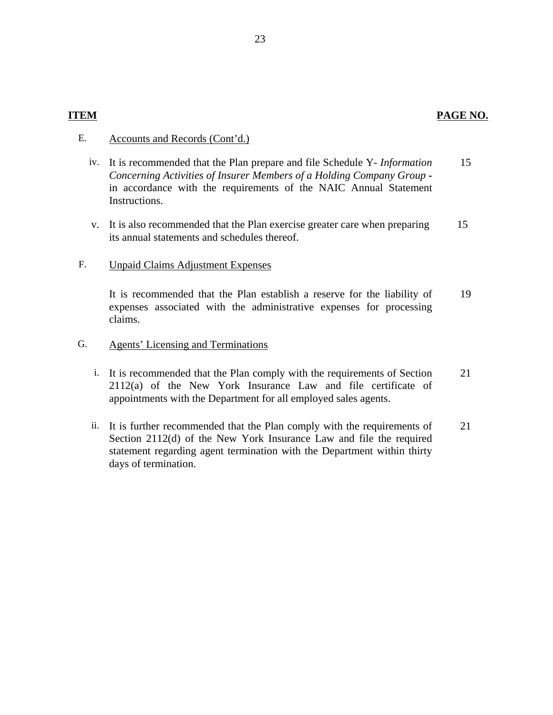#### E. Accounts and Records (Cont'd.)

- iv. It is recommended that the Plan prepare and file Schedule Y- *Information Concerning Activities of Insurer Members of a Holding Company Group*  in accordance with the requirements of the NAIC Annual Statement Instructions. 15
- v. It is also recommended that the Plan exercise greater care when preparing its annual statements and schedules thereof. 15

#### F. Unpaid Claims Adjustment Expenses

It is recommended that the Plan establish a reserve for the liability of expenses associated with the administrative expenses for processing claims. 19

- G. Agents' Licensing and Terminations
	- i. It is recommended that the Plan comply with the requirements of Section 2112(a) of the New York Insurance Law and file certificate of appointments with the Department for all employed sales agents. 21
	- ii. It is further recommended that the Plan comply with the requirements of Section 2112(d) of the New York Insurance Law and file the required statement regarding agent termination with the Department within thirty days of termination. 21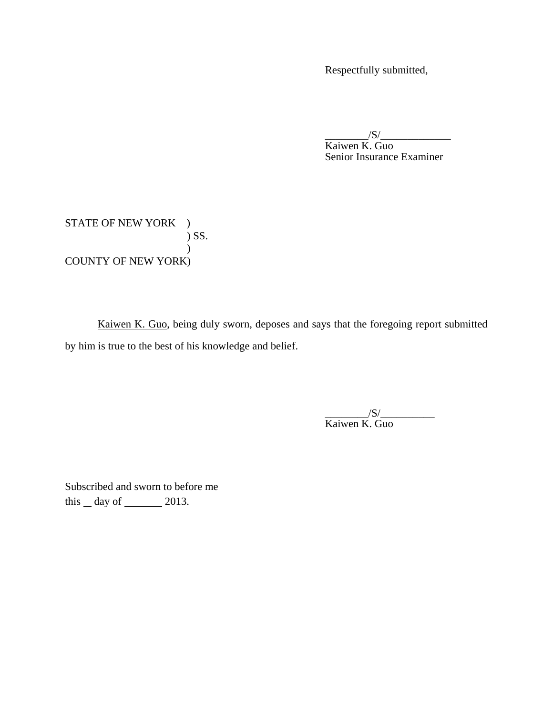Respectfully submitted,

\_\_\_\_\_\_\_\_/S/\_\_\_\_\_\_\_\_\_\_\_\_\_ Kaiwen K. Guo Senior Insurance Examiner

STATE OF NEW YORK ) ) SS. ) COUNTY OF NEW YORK)

Kaiwen K. Guo, being duly sworn, deposes and says that the foregoing report submitted by him is true to the best of his knowledge and belief.

\_\_\_\_\_\_\_\_/S/\_\_\_\_\_\_\_\_\_\_ Kaiwen K. Guo

Subscribed and sworn to before me this  $\_\,day\$  of  $\_\_\_\_\_2$  2013.